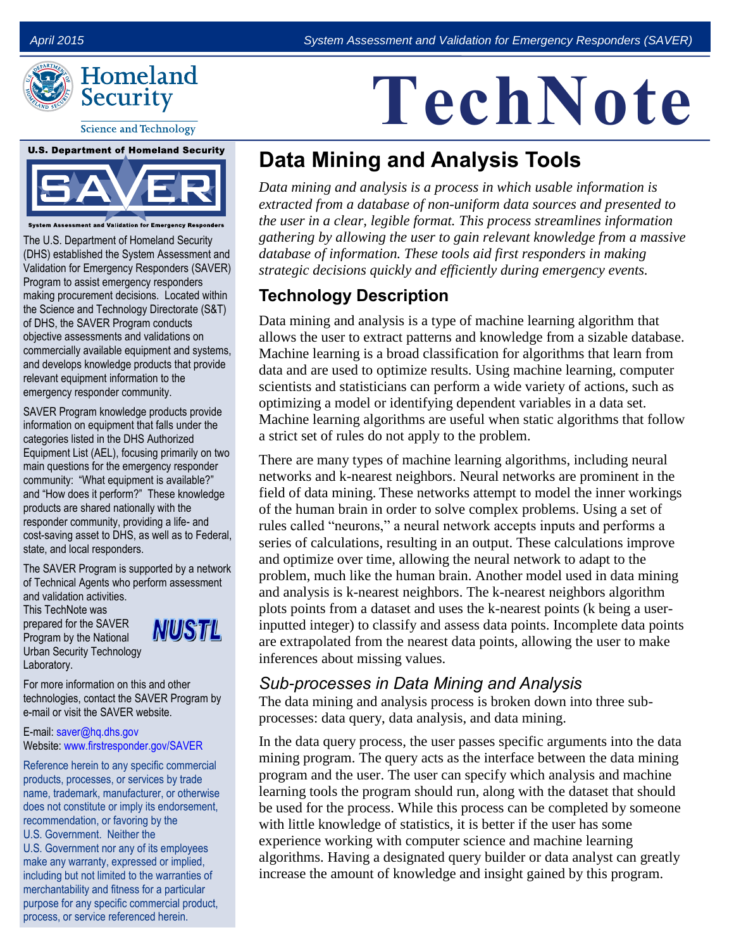

**Science and Technology** 



System Assessment and Validation for Emergency Responders

The U.S. Department of Homeland Security (DHS) established the System Assessment and Validation for Emergency Responders (SAVER) Program to assist emergency responders making procurement decisions. Located within the Science and Technology Directorate (S&T) of DHS, the SAVER Program conducts objective assessments and validations on commercially available equipment and systems, and develops knowledge products that provide relevant equipment information to the emergency responder community.

SAVER Program knowledge products provide information on equipment that falls under the categories listed in the DHS Authorized Equipment List (AEL), focusing primarily on two main questions for the emergency responder community: "What equipment is available?" and "How does it perform?" These knowledge products are shared nationally with the responder community, providing a life- and cost-saving asset to DHS, as well as to Federal, state, and local responders.

The SAVER Program is supported by a network of Technical Agents who perform assessment and validation activities.

This TechNote was prepared for the SAVER Program by the National Urban Security Technology Laboratory.



For more information on this and other technologies, contact the SAVER Program by e-mail or visit the SAVER website.

#### E-mail: [saver@hq.dhs.gov](mailto:saver@hq.dhs.gov) Website: [www.firstresponder.gov/SAVER](http://www.firstresponder.gov/SAVER)

Reference herein to any specific commercial products, processes, or services by trade name, trademark, manufacturer, or otherwise does not constitute or imply its endorsement, recommendation, or favoring by the U.S. Government. Neither the U.S. Government nor any of its employees make any warranty, expressed or implied, including but not limited to the warranties of merchantability and fitness for a particular purpose for any specific commercial product, process, or service referenced herein.

# **TechNote**

## **Data Mining and Analysis Tools**

*Data mining and analysis is a process in which usable information is extracted from a database of non-uniform data sources and presented to the user in a clear, legible format. This process streamlines information gathering by allowing the user to gain relevant knowledge from a massive database of information. These tools aid first responders in making strategic decisions quickly and efficiently during emergency events.* 

### **Technology Description**

Data mining and analysis is a type of machine learning algorithm that allows the user to extract patterns and knowledge from a sizable database. Machine learning is a broad classification for algorithms that learn from data and are used to optimize results. Using machine learning, computer scientists and statisticians can perform a wide variety of actions, such as optimizing a model or identifying dependent variables in a data set. Machine learning algorithms are useful when static algorithms that follow a strict set of rules do not apply to the problem.

There are many types of machine learning algorithms, including neural networks and k-nearest neighbors. Neural networks are prominent in the field of data mining. These networks attempt to model the inner workings of the human brain in order to solve complex problems. Using a set of rules called "neurons," a neural network accepts inputs and performs a series of calculations, resulting in an output. These calculations improve and optimize over time, allowing the neural network to adapt to the problem, much like the human brain. Another model used in data mining and analysis is k-nearest neighbors. The k-nearest neighbors algorithm plots points from a dataset and uses the k-nearest points (k being a userinputted integer) to classify and assess data points. Incomplete data points are extrapolated from the nearest data points, allowing the user to make inferences about missing values.

#### *Sub-processes in Data Mining and Analysis*

The data mining and analysis process is broken down into three subprocesses: data query, data analysis, and data mining.

In the data query process, the user passes specific arguments into the data mining program. The query acts as the interface between the data mining program and the user. The user can specify which analysis and machine learning tools the program should run, along with the dataset that should be used for the process. While this process can be completed by someone with little knowledge of statistics, it is better if the user has some experience working with computer science and machine learning algorithms. Having a designated query builder or data analyst can greatly increase the amount of knowledge and insight gained by this program.